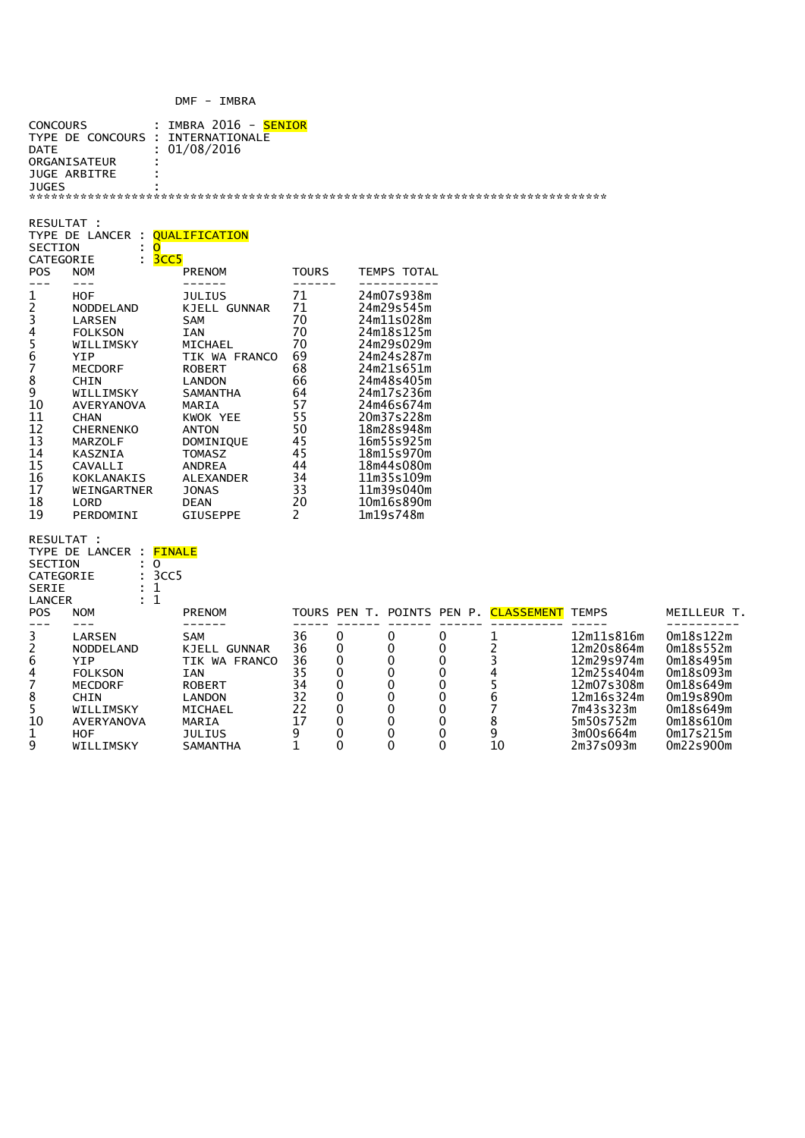## DMF - IMBRA

| <b>CONCOURS</b><br><b>DATE</b><br>JUGES                                                                                     | TYPE DE CONCOURS<br>ORGANISATEUR<br><b>JUGE ARBITRE</b>                                                                                                                                                                                                          | IMBRA 2016 - <mark>SENIOR</mark><br>INTERNATIONALE<br>01/08/2016                                                                                                                                                                                                                              |                                                                                                               |                                                              |                                                                                                                                                                                                                                                                       |                                                       |                                                          |                                                                                                                                      |                                                                                                                                |
|-----------------------------------------------------------------------------------------------------------------------------|------------------------------------------------------------------------------------------------------------------------------------------------------------------------------------------------------------------------------------------------------------------|-----------------------------------------------------------------------------------------------------------------------------------------------------------------------------------------------------------------------------------------------------------------------------------------------|---------------------------------------------------------------------------------------------------------------|--------------------------------------------------------------|-----------------------------------------------------------------------------------------------------------------------------------------------------------------------------------------------------------------------------------------------------------------------|-------------------------------------------------------|----------------------------------------------------------|--------------------------------------------------------------------------------------------------------------------------------------|--------------------------------------------------------------------------------------------------------------------------------|
| RESULTAT :<br><b>SECTION</b><br>CATEGORIE                                                                                   | TYPE DE LANCER : <mark>QUALIFICATION</mark><br>: O<br>: 3cc5                                                                                                                                                                                                     |                                                                                                                                                                                                                                                                                               |                                                                                                               |                                                              |                                                                                                                                                                                                                                                                       |                                                       |                                                          |                                                                                                                                      |                                                                                                                                |
| <b>POS</b><br>$---$                                                                                                         | <b>NOM</b><br>$---$                                                                                                                                                                                                                                              | <b>PRENOM</b><br>------                                                                                                                                                                                                                                                                       | <b>TOURS</b>                                                                                                  |                                                              | TEMPS TOTAL                                                                                                                                                                                                                                                           |                                                       |                                                          |                                                                                                                                      |                                                                                                                                |
| 1<br>$\overline{\mathbf{c}}$<br>3<br>4<br>5<br>6<br>7<br>8<br>9<br>10<br>11<br>12<br>13<br>14<br>15<br>16<br>17<br>18<br>19 | <b>HOF</b><br>NODDELAND<br>LARSEN<br><b>FOLKSON</b><br>WILLIMSKY<br>YIP<br>MECDORF<br><b>CHIN</b><br>WILLIMSKY<br><b>AVERYANOVA</b><br><b>CHAN</b><br><b>CHERNENKO</b><br><b>MARZOLF</b><br>KASZNIA<br>CAVALLI<br>KOKLANAKIS<br>WEINGARTNER<br>LORD<br>PERDOMINI | <b>JULIUS</b><br>KJELL GUNNAR<br><b>SAM</b><br><b>IAN</b><br>MICHAEL<br>TIK WA FRANCO<br><b>ROBERT</b><br><b>LANDON</b><br><b>SAMANTHA</b><br>MARIA<br>KWOK YEE<br><b>ANTON</b><br>DOMINIQUE<br><b>TOMASZ</b><br><b>ANDREA</b><br>ALEXANDER<br><b>JONAS</b><br><b>DEAN</b><br><b>GIUSEPPE</b> | 71<br>71<br>70<br>70<br>70<br>69<br>68<br>66<br>64<br>57<br>55<br>50<br>45<br>45<br>44<br>34<br>33<br>20<br>2 |                                                              | 24m07s938m<br>24m29s545m<br>24m11s028m<br>24m18s125m<br>24m29s029m<br>24m24s287m<br>24m21s651m<br>24m48s405m<br>24m17s236m<br>24m46s674m<br>20m37s228m<br>18m28s948m<br>16m55s925m<br>18m15s970m<br>18m44s080m<br>11m35s109m<br>11m39s040m<br>10m16s890m<br>1m19s748m |                                                       |                                                          |                                                                                                                                      |                                                                                                                                |
| RESULTAT :<br><b>SECTION</b><br>CATEGORIE<br><b>SERIE</b><br><b>LANCER</b><br><b>POS</b>                                    | TYPE DE LANCER : <mark>FINALE</mark><br>: 0<br>3CC5<br>1<br>1<br><b>NOM</b>                                                                                                                                                                                      | <b>PRENOM</b>                                                                                                                                                                                                                                                                                 |                                                                                                               |                                                              |                                                                                                                                                                                                                                                                       |                                                       | TOURS PEN T. POINTS PEN P. <mark>CLASSEMENT</mark> TEMPS |                                                                                                                                      | MEILLEUR T.                                                                                                                    |
| $---$<br>3<br>$\overline{\mathbf{c}}$<br>6<br>4<br>7<br>8<br>5<br>10<br>1<br>9                                              | $---$<br>LARSEN<br>NODDELAND<br><b>YIP</b><br><b>FOLKSON</b><br>MECDORF<br><b>CHIN</b><br>WILLIMSKY<br><b>AVERYANOVA</b><br>HOF<br>WILLIMSKY                                                                                                                     | ------<br>SAM<br>KJELL GUNNAR<br>TIK WA FRANCO<br><b>IAN</b><br><b>ROBERT</b><br><b>LANDON</b><br>MICHAEL<br>MARIA<br>JULIUS<br>SAMANTHA                                                                                                                                                      | 36<br>36<br>36<br>35<br>34<br>32<br>22<br>17<br>9<br>1                                                        | 0<br>0<br>0<br>0<br>0<br>$\Omega$<br>0<br>0<br>0<br>$\Omega$ | 0<br>0<br>0<br>0<br>0<br>0<br>0<br>0<br>0<br>0                                                                                                                                                                                                                        | 0<br>0<br>0<br>0<br>0<br>$\Omega$<br>0<br>0<br>0<br>0 | 1<br>2<br>3<br>4<br>5<br>6<br>7<br>8<br>9<br>10          | 12m11s816m<br>12m20s864m<br>12m29s974m<br>12m25s404m<br>12m07s308m<br>12m16s324m<br>7m43s323m<br>5m50s752m<br>3m00s664m<br>2m37s093m | 0m18s122m<br>0m18s552m<br>Om18s495m<br>Om18s093m<br>Om18s649m<br>0m19s890m<br>Om18s649m<br>Om18s610m<br>Om17s215m<br>0m22s900m |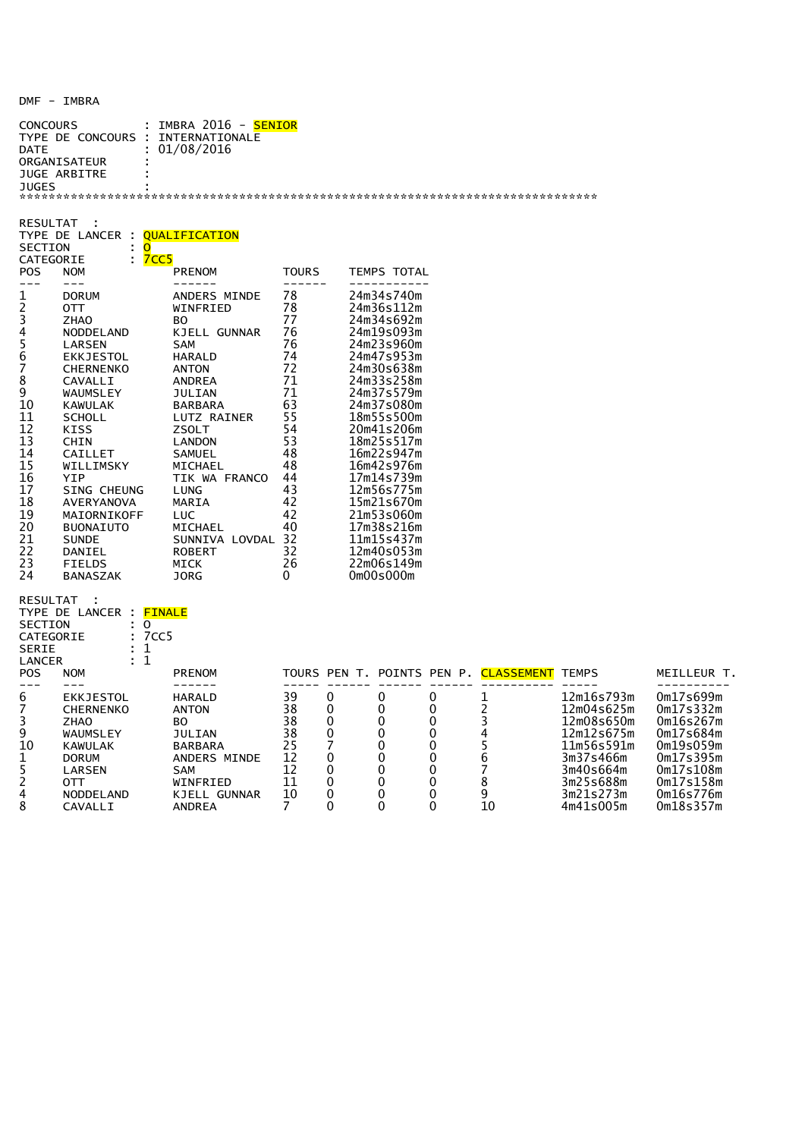## DMF - IMBRA

| CONCOURS<br>DATE<br>JUGES                                                                                                                    | TYPE DE CONCOURS : INTERNATIONALE<br>ORGANISATEUR<br>JUGE ARBITRE                                                                                                                                                                                                                                                                          | : IMBRA 2016 - <mark>SENIOR</mark><br>01/08/2016                                                                                                                                                                                                                                                    |                                                                                                                                                  |                                           |                                                                                                                                                                                                                                                                                                                                                                        |                                                                               |                                             |                                                                                                                        |                                                                                                                               |
|----------------------------------------------------------------------------------------------------------------------------------------------|--------------------------------------------------------------------------------------------------------------------------------------------------------------------------------------------------------------------------------------------------------------------------------------------------------------------------------------------|-----------------------------------------------------------------------------------------------------------------------------------------------------------------------------------------------------------------------------------------------------------------------------------------------------|--------------------------------------------------------------------------------------------------------------------------------------------------|-------------------------------------------|------------------------------------------------------------------------------------------------------------------------------------------------------------------------------------------------------------------------------------------------------------------------------------------------------------------------------------------------------------------------|-------------------------------------------------------------------------------|---------------------------------------------|------------------------------------------------------------------------------------------------------------------------|-------------------------------------------------------------------------------------------------------------------------------|
| RESULTAT<br>SECTION<br>CATEGORIE                                                                                                             | TYPE DE LANCER : <mark>QUALIFICATION</mark><br>: O<br>: <mark>7CC5</mark>                                                                                                                                                                                                                                                                  |                                                                                                                                                                                                                                                                                                     |                                                                                                                                                  |                                           |                                                                                                                                                                                                                                                                                                                                                                        |                                                                               |                                             |                                                                                                                        |                                                                                                                               |
| POS                                                                                                                                          | <b>NOM</b>                                                                                                                                                                                                                                                                                                                                 | <b>PRENOM</b>                                                                                                                                                                                                                                                                                       | <b>TOURS</b>                                                                                                                                     |                                           | TEMPS TOTAL                                                                                                                                                                                                                                                                                                                                                            |                                                                               |                                             |                                                                                                                        |                                                                                                                               |
| $---$<br>1<br>2<br>3<br>4<br>5<br>6<br>7<br>8<br>9<br>10<br>11<br>12<br>13<br>14<br>15<br>16<br>17<br>18<br>19<br>20<br>21<br>22<br>23<br>24 | $---$<br><b>DORUM</b><br>отт<br><b>ZHAO</b><br>NODDELAND<br>LARSEN<br>EKKJESTOL<br><b>CHERNENKO</b><br>CAVALLI<br>WAUMSLEY<br>KAWULAK<br><b>SCHOLL</b><br>KISS<br>CHIN<br>CAILLET<br>WILLIMSKY<br>YIP<br><b>SING CHEUNG</b><br>AVERYANOVA<br>MAIORNIKOFF<br><b>BUONAIUTO</b><br><b>SUNDE</b><br>DANIEL<br><b>FIELDS</b><br><b>BANASZAK</b> | ------<br>ANDERS MINDE<br>WINFRIED<br>BО<br>KJELL GUNNAR<br><b>SAM</b><br>HARALD<br>ANTON<br>ANDREA<br>JULIAN<br>BARBARA<br>LUTZ RAINER<br>ZSOLT<br>LANDON<br>SAMUEL<br>MICHAEL<br>TIK WA FRANCO 44<br>LUNG<br>MARIA<br><b>LUC</b><br>MICHAEL<br>SUNNIVA LOVDAL 32<br>ROBERT<br>MICK<br><b>JORG</b> | $- - - - - -$<br>78<br>78<br>77<br>76<br>76<br>74<br>72<br>71<br>71<br>63<br>55<br>54<br>53<br>48<br>48<br>43<br>42<br>42<br>40<br>32<br>26<br>0 |                                           | -----------<br>24m34s740m<br>24m36s112m<br>24m34s692m<br>24m19s093m<br>24m23s960m<br>24m47s953m<br>24m30s638m<br>24m33s258m<br>24m37s579m<br>24m37s080m<br>18m55s500m<br>20m41s206m<br>18m25s517m<br>16m22s947m<br>16m42s976m<br>17m14s739m<br>12m56s775m<br>15m21s670m<br>21m53s060m<br>17m38s216m<br>11m15s437m<br>12m40s053m<br>22m06s149m<br>0 <sub>m00s000m</sub> |                                                                               |                                             |                                                                                                                        |                                                                                                                               |
| RESULTAT<br>SECTION<br>CATEGORIE<br>SERIE<br>LANCER<br>POS                                                                                   | TYPE DE LANCER : <mark>FINALE</mark><br>$\therefore$ 0<br>: 7 CC 5<br>: 1<br>: 1<br><b>NOM</b>                                                                                                                                                                                                                                             | <b>PRENOM</b>                                                                                                                                                                                                                                                                                       |                                                                                                                                                  |                                           |                                                                                                                                                                                                                                                                                                                                                                        |                                                                               | TOURS PEN T. POINTS PEN P. CLASSEMENT TEMPS |                                                                                                                        | MEILLEUR T.                                                                                                                   |
| $- - -$<br>6<br>7<br>3<br>9<br>10<br>1<br>5<br>2<br>4                                                                                        | $- - -$<br><b>EKKJESTOL</b><br><b>CHERNENKO</b><br><b>ZHAO</b><br>WAUMSLEY<br>KAWULAK<br><b>DORUM</b><br>LARSEN<br>0TT<br>NODDELAND                                                                                                                                                                                                        | $- - - - - -$<br>HARALD<br><b>ANTON</b><br>BO.<br>JULIAN<br>BARBARA<br>ANDERS MINDE<br><b>SAM</b><br>WINFRIED<br>KJELL GUNNAR                                                                                                                                                                       | $\frac{1}{2}$<br>39<br>38<br>38<br>38<br>25<br>12<br>12<br>11<br>10                                                                              | 0<br>0<br>0<br>0<br>7<br>0<br>0<br>0<br>0 | 0<br>0<br>0<br>0<br>0<br>0<br>0<br>0<br>$\Omega$                                                                                                                                                                                                                                                                                                                       | 0<br>$\Omega$<br>0<br>0<br>0<br>0<br>$\mathbf{0}$<br>$\mathbf{0}$<br>$\Omega$ | 1<br>2<br>3<br>4<br>5<br>6<br>7<br>8<br>9   | 12m16s793m<br>12m04s625m<br>12m08s650m<br>12m12s675m<br>11m56s591m<br>3m37s466m<br>3m40s664m<br>3m25s688m<br>3m21s273m | 0m17s699m<br>0m17s332m<br>0m16s267m<br>0m17s684m<br>0 <sub>m19s059m</sub><br>0m17s395m<br>0m17s108m<br>0m17s158m<br>0m16s776m |

8 CAVALLI ANDREA 7 0 0 0 10 4m41s005m 0m18s357m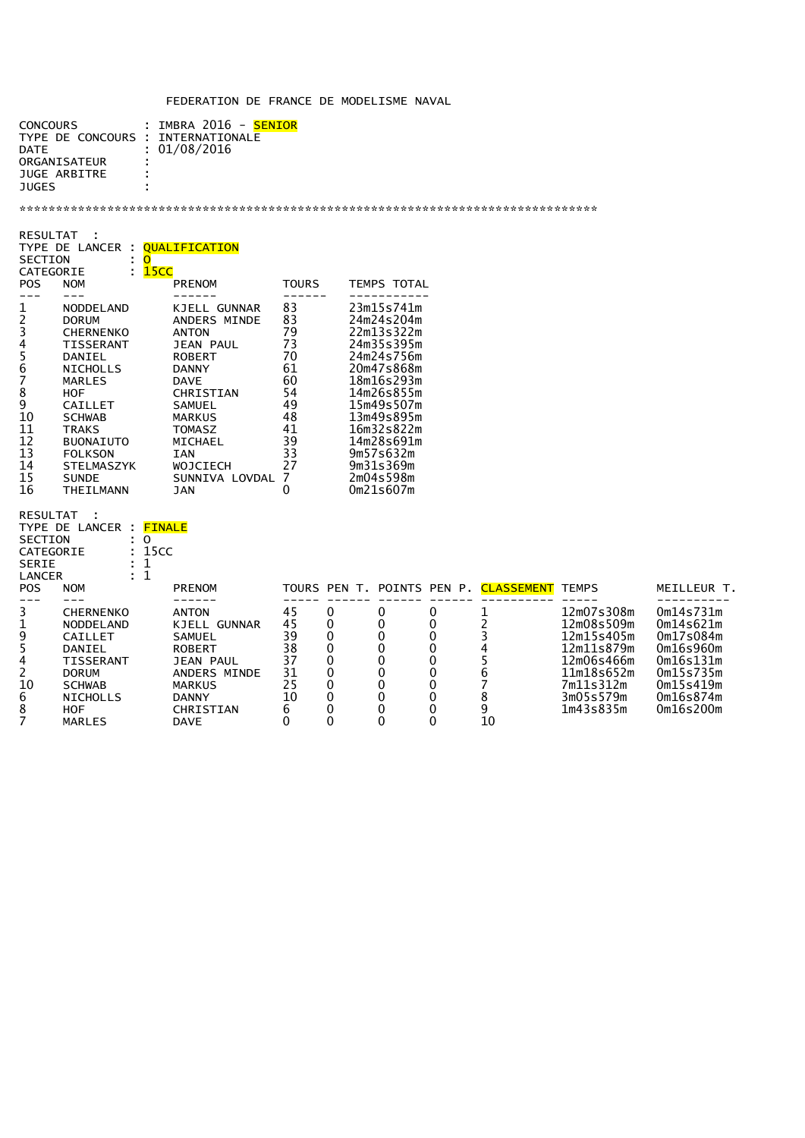## FEDERATION DE FRANCE DE MODELISME NAVAL

| <b>CONCOURS</b><br>TYPE DE CONCOURS : INTERNATIONALE<br><b>DATF</b> | : IMBRA 2016 - <mark>SENIOR</mark><br>: 01/08/2016 |
|---------------------------------------------------------------------|----------------------------------------------------|
| ORGANISATEUR<br>JUGE ARBITRE                                        | ÷<br>٠                                             |
| <b>JUGES</b>                                                        | ٠                                                  |

\*\*\*\*\*\*\*\*\*\*\*\*\*\*\*\*\*\*\*\*\*\*\*\*\*\*\*\*\*\*\*\*\*\*\*\*\*\*\*\*\*\*\*\*\*\*\*\*\*\*\*\*\*\*\*\*\*\*\*\*\*\*\*\*\*\*\*\*\*\*\*\*\*\*\*\*\*\*\*

8 HOF CHRISTIAN 6 0 0 0 9 1m43s835m 0m16s200m

| <b>RESULTAT</b><br>TYPE DE LANCER<br><b>SECTION</b><br>CATEGORIE<br>÷<br><b>POS</b><br><b>NOM</b>                                                                                                                                                                                                                     | <b>OUALIFICATION</b><br>O<br>15 <sub>CC</sub><br><b>PRENOM</b>                                                                                                                                                                              | <b>TOURS</b>                                                                               | TEMPS TOTAL                                                                                                                                                                                                              |
|-----------------------------------------------------------------------------------------------------------------------------------------------------------------------------------------------------------------------------------------------------------------------------------------------------------------------|---------------------------------------------------------------------------------------------------------------------------------------------------------------------------------------------------------------------------------------------|--------------------------------------------------------------------------------------------|--------------------------------------------------------------------------------------------------------------------------------------------------------------------------------------------------------------------------|
| 1<br>NODDELAND<br>2<br><b>DORUM</b><br>3<br><b>CHERNENKO</b><br>4<br>TISSERANT<br>5<br>6<br>DANIEL<br>NICHOLLS<br>7<br>MARLES<br>8<br>HOF<br>9<br>CAILLET<br>10<br><b>SCHWAB</b><br>11<br>TRAKS<br>12<br><b>BUONAIUTO</b><br>13<br><b>FOLKSON</b><br>14<br><b>STELMASZYK</b><br>15<br><b>SUNDE</b><br>16<br>THEILMANN | <b>GUNNAR</b><br>KJELLI<br>ANDERS MINDE<br><b>ANTON</b><br>JEAN PAUL<br><b>ROBERT</b><br><b>DANNY</b><br><b>DAVE</b><br>CHRISTIAN<br>SAMUEL<br><b>MARKUS</b><br>TOMASZ<br>MICHAEL<br><b>IAN</b><br><b>WOJCIECH</b><br>SUNNIVA LOVDAL<br>JAN | 83<br>83<br>79<br>73<br>70<br>61<br>60<br>54<br>49<br>48<br>41<br>39<br>33<br>27<br>7<br>0 | 23m15s741m<br>24m24s204m<br>22m13s322m<br>24m35s395m<br>24m24s756m<br>20m47s868m<br>18m16s293m<br>14m26s855m<br>15m49s507m<br>13m49s895m<br>16m32s822m<br>14m28s691m<br>9m57s632m<br>9m31s369m<br>2m04s598m<br>0m21s607m |

| <b>RESULTAT</b> |                                      |                    |    |   |  |   |                                             |            |             |
|-----------------|--------------------------------------|--------------------|----|---|--|---|---------------------------------------------|------------|-------------|
|                 | TYPE DE LANCER : <mark>FINALE</mark> |                    |    |   |  |   |                                             |            |             |
| <b>SECTION</b>  |                                      | 0                  |    |   |  |   |                                             |            |             |
| CATEGORIE       |                                      | : 15 <sub>CC</sub> |    |   |  |   |                                             |            |             |
| <b>SERIE</b>    |                                      |                    |    |   |  |   |                                             |            |             |
| LANCER          |                                      |                    |    |   |  |   |                                             |            |             |
| POS.            | <b>NOM</b>                           | <b>PRENOM</b>      |    |   |  |   | TOURS PEN T. POINTS PEN P. CLASSEMENT TEMPS |            | MEILLEUR T. |
|                 |                                      |                    |    |   |  |   |                                             |            |             |
| 3               | <b>CHERNENKO</b>                     | <b>ANTON</b>       | 45 | 0 |  | 0 |                                             | 12m07s308m | 0m14s731m   |
| 1               | <b>NODDELAND</b>                     | KJELL GUNNAR       | 45 |   |  |   |                                             | 12m08s509m | 0m14s621m   |
| 9               | CAILLET                              | SAMUEL             | 39 |   |  |   |                                             | 12m15s405m | 0m17s084m   |
| 5.              | DANIEL                               | <b>ROBERT</b>      | 38 | 0 |  |   |                                             | 12m11s879m | 0m16s960m   |
| 4               | <b>TISSERANT</b>                     | <b>JEAN PAUL</b>   | 37 |   |  |   |                                             | 12m06s466m | 0m16s131m   |
| 2.              | <b>DORUM</b>                         | ANDERS MINDE       | 31 |   |  | 0 |                                             | 11m18s652m | 0m15s735m   |
| 10              | <b>SCHWAB</b>                        | MARKUS             | 25 | 0 |  |   |                                             | 7m11s312m  | 0m15s419m   |
| 6               | <b>NICHOLLS</b>                      | <b>DANNY</b>       | 10 | 0 |  |   |                                             | 3m05s579m  | Om16s874m   |

7 MARLES DAVE 0 0 0 0 10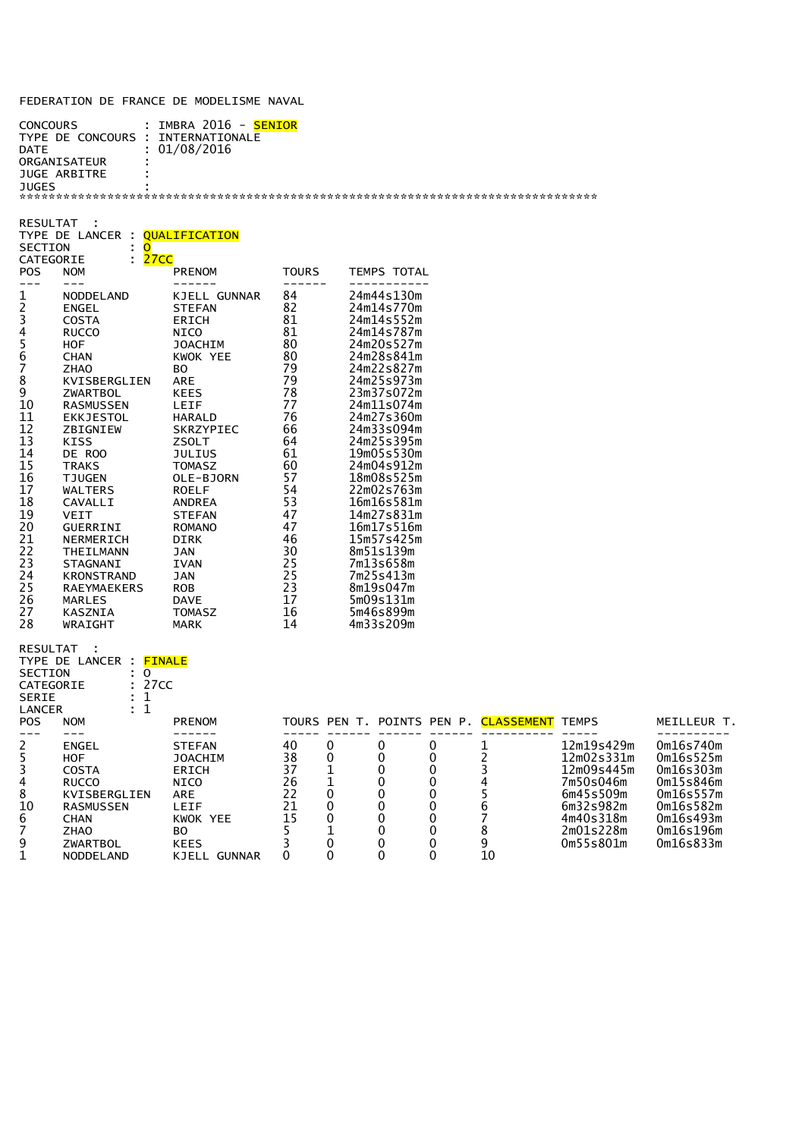## FEDERATION DE FRANCE DE MODELISME NAVAL

| IMBRA 2016 -<br><b>SENTOR</b><br>÷ |
|------------------------------------|
| TNTFRNATTONAL F                    |
| : 01/08/2016                       |
| $\blacksquare$                     |
|                                    |
|                                    |
|                                    |
|                                    |

| RESULTAT<br><b>SECTION</b><br><b>POS</b>                                                                                                                            | TYPE DE LANCER : QUALIFICATION<br>∶ O<br>: <mark>27CC</mark><br>CATEGORIE<br><b>NOM</b>                                                                                                                                                                                                                                                                                                               | PRENOM                                                                                                                                                                                                                                                                                                                        | <b>TOURS</b>                                                                                                                                                                   | TEMPS TOTAL                                                                                                                                                                                                                                                                                                                                                                                               |  |
|---------------------------------------------------------------------------------------------------------------------------------------------------------------------|-------------------------------------------------------------------------------------------------------------------------------------------------------------------------------------------------------------------------------------------------------------------------------------------------------------------------------------------------------------------------------------------------------|-------------------------------------------------------------------------------------------------------------------------------------------------------------------------------------------------------------------------------------------------------------------------------------------------------------------------------|--------------------------------------------------------------------------------------------------------------------------------------------------------------------------------|-----------------------------------------------------------------------------------------------------------------------------------------------------------------------------------------------------------------------------------------------------------------------------------------------------------------------------------------------------------------------------------------------------------|--|
| $---$<br>$\mathbf 1$<br>2345678<br>$\overline{9}$<br>10<br>11<br>12<br>13<br>14<br>15<br>16<br>17<br>18<br>19<br>20<br>21<br>22<br>23<br>24<br>25<br>26<br>27<br>28 | $---$<br>NODDELAND<br><b>ENGEL</b><br><b>COSTA</b><br><b>RUCCO</b><br><b>HOF</b><br><b>CHAN</b><br><b>ZHAO</b><br>KVISBERGLIEN<br>ZWARTBOL<br>RASMUSSEN<br>EKKJESTOL<br>ZBIGNIEW<br><b>KISS</b><br>DE ROO<br>TRAKS<br><b>TJUGEN</b><br>WALTERS<br>CAVALLI<br><b>VEIT</b><br>GUERRINI<br>NERMERICH<br>THEILMANN<br>STAGNANI<br>KRONSTRAND<br><b>RAEYMAEKERS</b><br><b>MARLES</b><br>KASZNIA<br>WRAIGHT | -------<br>KJELL GUNNAR<br><b>STEFAN</b><br>ERICH<br>NICO<br>JOACHIM<br>KWOK YEE<br>BO <sub>b</sub><br><b>ARE</b><br>KEES<br>LEIF<br>HARALD<br>SKRZYPIEC<br>ZSOLT<br>JULIUS<br>TOMASZ<br>OLE-BJORN<br><b>ROELF</b><br>ANDREA<br><b>STEFAN</b><br>ROMANO<br>DIRK<br>JAN<br>IVAN<br>JAN<br>ROB<br>DAVE<br>TOMASZ<br><b>MARK</b> | ------<br>84<br>82<br>81<br>81<br>80<br>80<br>79<br>79<br>78<br>77<br>76<br>66<br>64<br>61<br>60<br>57<br>54<br>53<br>47<br>47<br>46<br>30<br>25<br>25<br>23<br>17<br>16<br>14 | --------<br>24m44s130m<br>24m14s770m<br>24m14s552m<br>24m14s787m<br>24m20s527m<br>24m28s841m<br>24m22s827m<br>24m25s973m<br>23m37s072m<br>24m11s074m<br>24m27s360m<br>24m33s094m<br>24m25s395m<br>19m05s530m<br>24m04s912m<br>18m08s525m<br>22m02s763m<br>16m16s581m<br>14m27s831m<br>16m17s516m<br>15m57s425m<br>8m51s139m<br>7m13s658m<br>7m25s413m<br>8m19s047m<br>5m09s131m<br>5m46s899m<br>4m33s209m |  |
| SECTION<br><b>SERIE</b><br><b>LANCER</b><br><b>POS</b><br>$- - -$                                                                                                   | RESULTAT :<br>TYPE DE LANCER : FINALE<br>$\mathbf{.} \circ$<br>: 27 <sub>CC</sub><br>CATEGORIE<br>: 1<br>: 1<br><b>NOM</b><br>$---$                                                                                                                                                                                                                                                                   | <b>PRENOM</b><br>------                                                                                                                                                                                                                                                                                                       | -----                                                                                                                                                                          | TOURS PEN T. POINTS PEN P. CLASSEMENT TH                                                                                                                                                                                                                                                                                                                                                                  |  |

POS MEILLEUR T.

| 2  | ENGEL            | <b>STEFAN</b>   | 40 |  |    | 12m19s429m            | 0m16s740m |
|----|------------------|-----------------|----|--|----|-----------------------|-----------|
| 5. | <b>HOF</b>       | <b>JOACHIM</b>  | 38 |  |    | 12m02s331m            | 0m16s525m |
| 3. | COSTA            | <b>ERICH</b>    | 37 |  |    | 12m09s445m            | 0m16s303m |
| 4  | <b>RUCCO</b>     | <b>NICO</b>     | 26 |  |    | 7m50s046m             | 0m15s846m |
| 8  | KVISBERGLIEN     | <b>ARE</b>      | 22 |  |    | 6m45s509m             | 0m16s557m |
| 10 | RASMUSSEN        | LEIF            | 21 |  |    | 6m32s982m             | Om16s582m |
| 6  | CHAN             | KWOK YEE        | 15 |  |    | 4m40s318m             | 0m16s493m |
|    | <b>ZHAO</b>      | BО              |    |  |    | 2m01s228m             | 0m16s196m |
| 9  | ZWARTBOL         | <b>KEES</b>     |    |  |    | 0 <sub>m55s801m</sub> | Om16s833m |
|    | <b>NODDELAND</b> | KJELL<br>GUNNAR |    |  | 10 |                       |           |